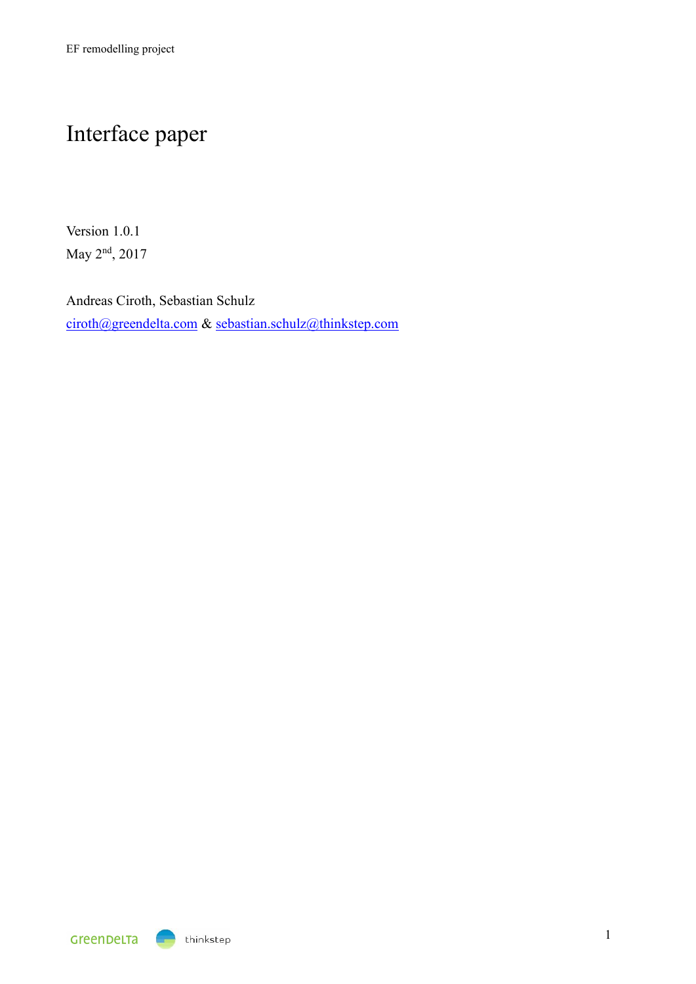# Interface paper

Version 1.0.1 May 2<sup>nd</sup>, 2017

Andreas Ciroth, Sebastian Schulz [ciroth@greendelta.com](mailto:ciroth@greendelta.com) & [sebastian.schulz@thinkstep.com](mailto:sebastian.schulz@thinkstep.com)

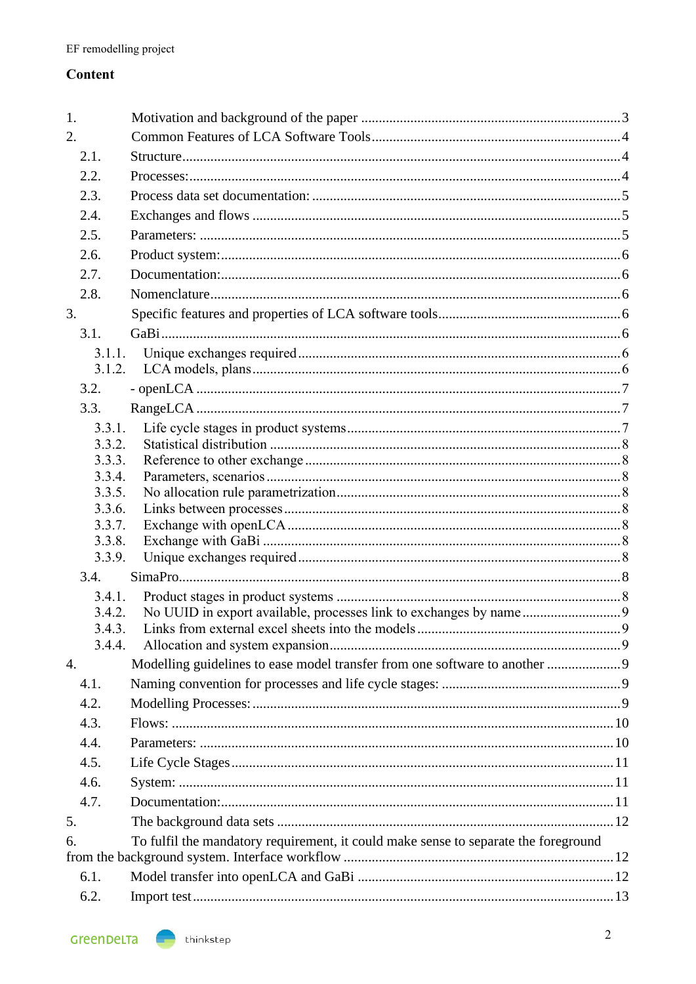# Content

| 1.                                                                                        |                                                                            |   |  |  |
|-------------------------------------------------------------------------------------------|----------------------------------------------------------------------------|---|--|--|
| 2.                                                                                        |                                                                            |   |  |  |
| 2.1.                                                                                      |                                                                            |   |  |  |
| 2.2.                                                                                      |                                                                            |   |  |  |
| 2.3.                                                                                      |                                                                            |   |  |  |
| 2.4.                                                                                      |                                                                            |   |  |  |
| 2.5.                                                                                      |                                                                            |   |  |  |
| 2.6.                                                                                      |                                                                            |   |  |  |
| 2.7.                                                                                      |                                                                            |   |  |  |
| 2.8.                                                                                      |                                                                            |   |  |  |
| 3.                                                                                        |                                                                            |   |  |  |
| 3.1.                                                                                      |                                                                            |   |  |  |
| 3.1.1.                                                                                    |                                                                            |   |  |  |
| 3.1.2.                                                                                    |                                                                            |   |  |  |
| 3.2.                                                                                      |                                                                            |   |  |  |
| 3.3.                                                                                      |                                                                            |   |  |  |
| 3.3.1.                                                                                    |                                                                            |   |  |  |
| 3.3.2.                                                                                    |                                                                            |   |  |  |
| 3.3.3.<br>3.3.4.                                                                          |                                                                            |   |  |  |
| 3.3.5.                                                                                    |                                                                            |   |  |  |
| 3.3.6.                                                                                    |                                                                            |   |  |  |
| 3.3.7.                                                                                    |                                                                            |   |  |  |
| 3.3.8.                                                                                    |                                                                            |   |  |  |
| 3.3.9.                                                                                    |                                                                            |   |  |  |
| 3.4.                                                                                      |                                                                            |   |  |  |
| 3.4.1.<br>3.4.2.                                                                          |                                                                            |   |  |  |
| 3.4.3.                                                                                    | Links from external excel sheets into the models.                          | 9 |  |  |
| 3.4.4.                                                                                    |                                                                            |   |  |  |
| $\overline{4}$ .                                                                          | Modelling guidelines to ease model transfer from one software to another 9 |   |  |  |
| 4.1.                                                                                      |                                                                            |   |  |  |
| 4.2.                                                                                      |                                                                            |   |  |  |
| 4.3.                                                                                      |                                                                            |   |  |  |
| 4.4.                                                                                      |                                                                            |   |  |  |
| 4.5.                                                                                      |                                                                            |   |  |  |
| 4.6.                                                                                      |                                                                            |   |  |  |
| 4.7.                                                                                      |                                                                            |   |  |  |
| 5.                                                                                        |                                                                            |   |  |  |
| To fulfil the mandatory requirement, it could make sense to separate the foreground<br>6. |                                                                            |   |  |  |
|                                                                                           |                                                                            |   |  |  |
| 6.1.                                                                                      |                                                                            |   |  |  |
| 6.2.                                                                                      |                                                                            |   |  |  |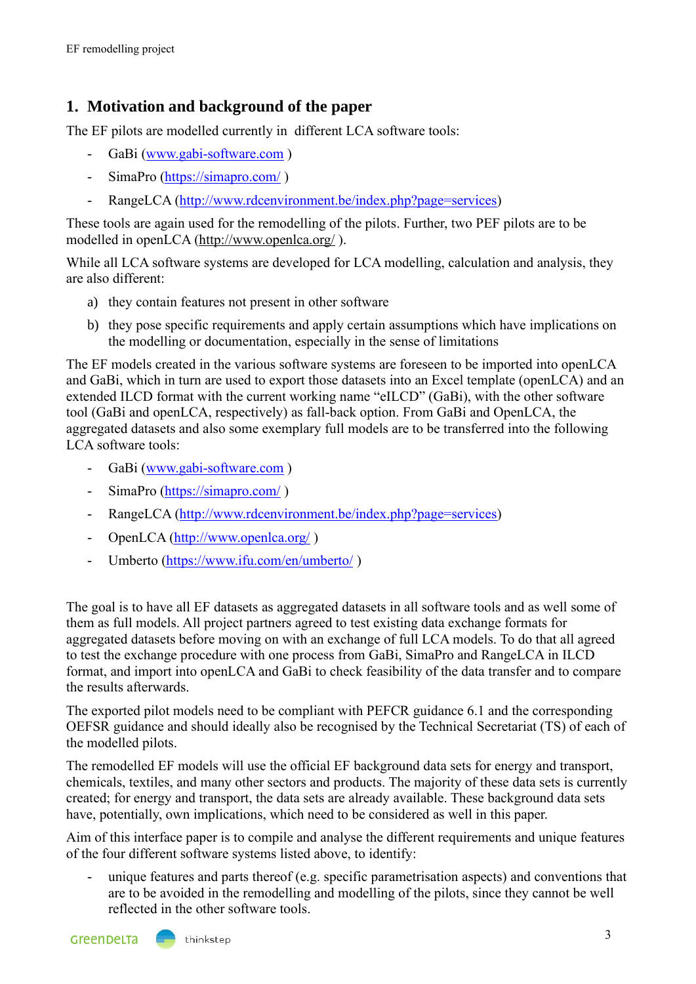# <span id="page-2-0"></span>**1. Motivation and background of the paper**

The EF pilots are modelled currently in different LCA software tools:

- GaBi [\(www.gabi-software.com](http://www.gabi-software.com/))
- SimaPro [\(https://simapro.com/](https://simapro.com/) )
- RangeLCA [\(http://www.rdcenvironment.be/index.php?page=services\)](http://www.rdcenvironment.be/index.php?page=services)

These tools are again used for the remodelling of the pilots. Further, two PEF pilots are to be modelled in openLCA [\(http://www.openlca.org/](http://www.openlca.org/) ).

While all LCA software systems are developed for LCA modelling, calculation and analysis, they are also different:

- a) they contain features not present in other software
- b) they pose specific requirements and apply certain assumptions which have implications on the modelling or documentation, especially in the sense of limitations

The EF models created in the various software systems are foreseen to be imported into openLCA and GaBi, which in turn are used to export those datasets into an Excel template (openLCA) and an extended ILCD format with the current working name "eILCD" (GaBi), with the other software tool (GaBi and openLCA, respectively) as fall-back option. From GaBi and OpenLCA, the aggregated datasets and also some exemplary full models are to be transferred into the following LCA software tools:

- GaBi [\(www.gabi-software.com](http://www.gabi-software.com/))
- SimaPro [\(https://simapro.com/](https://simapro.com/))
- RangeLCA [\(http://www.rdcenvironment.be/index.php?page=services\)](http://www.rdcenvironment.be/index.php?page=services)
- OpenLCA [\(http://www.openlca.org/](http://www.openlca.org/))
- Umberto [\(https://www.ifu.com/en/umberto/](https://www.ifu.com/en/umberto/) )

The goal is to have all EF datasets as aggregated datasets in all software tools and as well some of them as full models. All project partners agreed to test existing data exchange formats for aggregated datasets before moving on with an exchange of full LCA models. To do that all agreed to test the exchange procedure with one process from GaBi, SimaPro and RangeLCA in ILCD format, and import into openLCA and GaBi to check feasibility of the data transfer and to compare the results afterwards.

The exported pilot models need to be compliant with PEFCR guidance 6.1 and the corresponding OEFSR guidance and should ideally also be recognised by the Technical Secretariat (TS) of each of the modelled pilots.

The remodelled EF models will use the official EF background data sets for energy and transport, chemicals, textiles, and many other sectors and products. The majority of these data sets is currently created; for energy and transport, the data sets are already available. These background data sets have, potentially, own implications, which need to be considered as well in this paper.

Aim of this interface paper is to compile and analyse the different requirements and unique features of the four different software systems listed above, to identify:

- unique features and parts thereof (e.g. specific parametrisation aspects) and conventions that are to be avoided in the remodelling and modelling of the pilots, since they cannot be well reflected in the other software tools.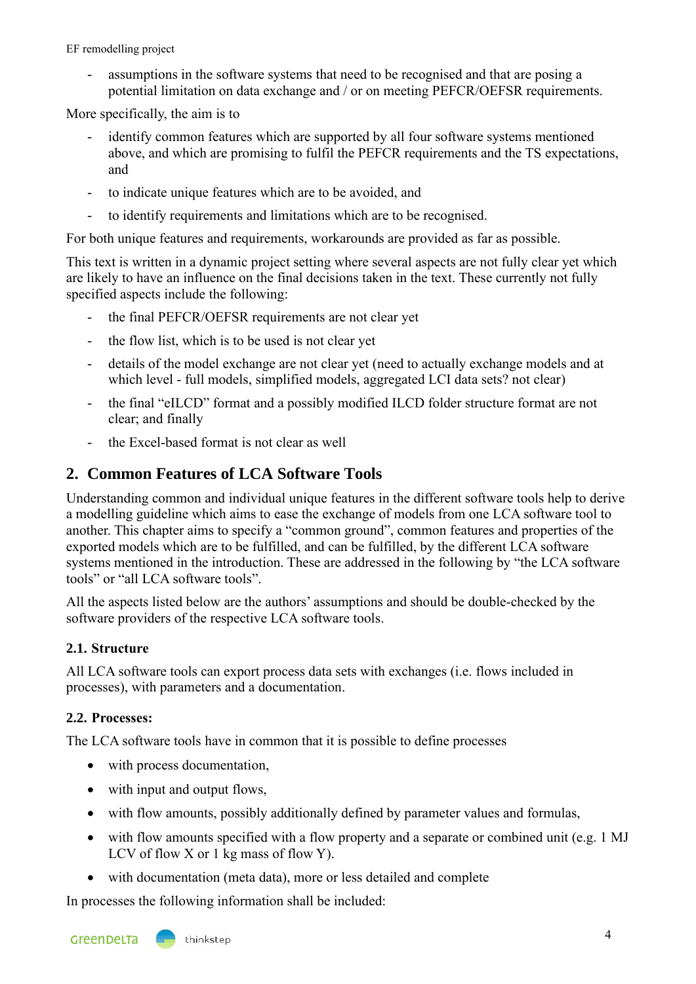assumptions in the software systems that need to be recognised and that are posing a potential limitation on data exchange and / or on meeting PEFCR/OEFSR requirements.

More specifically, the aim is to

- identify common features which are supported by all four software systems mentioned above, and which are promising to fulfil the PEFCR requirements and the TS expectations, and
- to indicate unique features which are to be avoided, and
- to identify requirements and limitations which are to be recognised.

For both unique features and requirements, workarounds are provided as far as possible.

This text is written in a dynamic project setting where several aspects are not fully clear yet which are likely to have an influence on the final decisions taken in the text. These currently not fully specified aspects include the following:

- the final PEFCR/OEFSR requirements are not clear yet
- the flow list, which is to be used is not clear yet
- details of the model exchange are not clear yet (need to actually exchange models and at which level - full models, simplified models, aggregated LCI data sets? not clear)
- the final "eILCD" format and a possibly modified ILCD folder structure format are not clear; and finally
- the Excel-based format is not clear as well

# <span id="page-3-0"></span>**2. Common Features of LCA Software Tools**

Understanding common and individual unique features in the different software tools help to derive a modelling guideline which aims to ease the exchange of models from one LCA software tool to another. This chapter aims to specify a "common ground", common features and properties of the exported models which are to be fulfilled, and can be fulfilled, by the different LCA software systems mentioned in the introduction. These are addressed in the following by "the LCA software tools" or "all LCA software tools".

All the aspects listed below are the authors' assumptions and should be double-checked by the software providers of the respective LCA software tools.

# <span id="page-3-1"></span>**2.1. Structure**

All LCA software tools can export process data sets with exchanges (i.e. flows included in processes), with parameters and a documentation.

# <span id="page-3-2"></span>**2.2. Processes:**

The LCA software tools have in common that it is possible to define processes

- with process documentation,
- with input and output flows,
- with flow amounts, possibly additionally defined by parameter values and formulas,
- with flow amounts specified with a flow property and a separate or combined unit (e.g. 1 MJ) LCV of flow X or 1 kg mass of flow Y).
- with documentation (meta data), more or less detailed and complete

In processes the following information shall be included: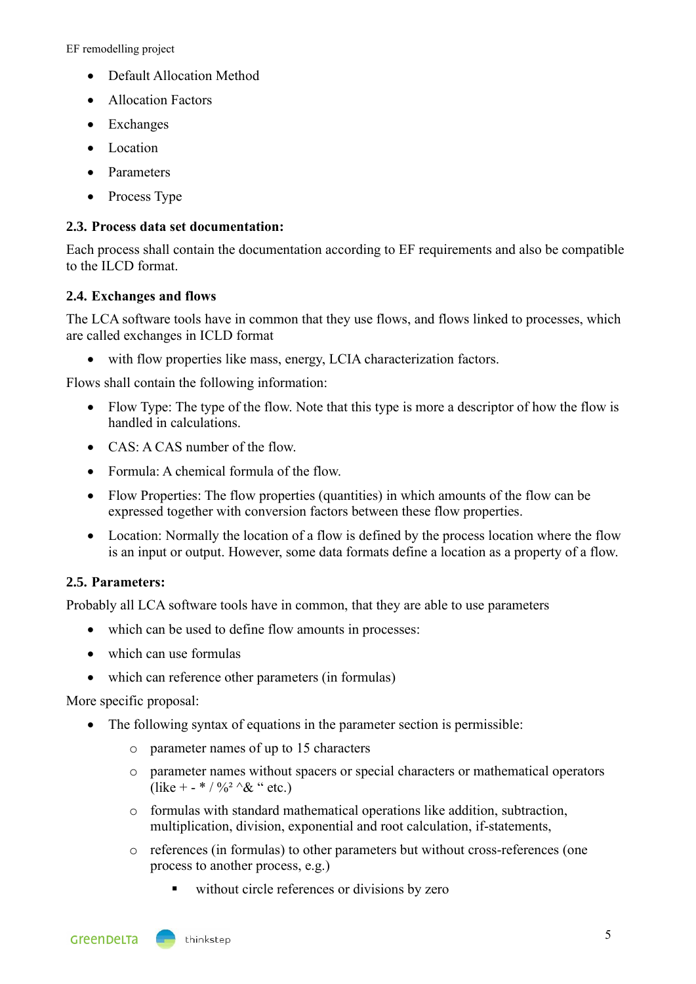- Default Allocation Method
- Allocation Factors
- Exchanges
- Location
- Parameters
- Process Type

#### <span id="page-4-0"></span>**2.3. Process data set documentation:**

Each process shall contain the documentation according to EF requirements and also be compatible to the ILCD format.

#### <span id="page-4-1"></span>**2.4. Exchanges and flows**

The LCA software tools have in common that they use flows, and flows linked to processes, which are called exchanges in ICLD format

• with flow properties like mass, energy, LCIA characterization factors.

Flows shall contain the following information:

- Flow Type: The type of the flow. Note that this type is more a descriptor of how the flow is handled in calculations.
- CAS: A CAS number of the flow
- Formula: A chemical formula of the flow.
- Flow Properties: The flow properties (quantities) in which amounts of the flow can be expressed together with conversion factors between these flow properties.
- Location: Normally the location of a flow is defined by the process location where the flow is an input or output. However, some data formats define a location as a property of a flow.

#### <span id="page-4-2"></span>**2.5. Parameters:**

Probably all LCA software tools have in common, that they are able to use parameters

- which can be used to define flow amounts in processes:
- which can use formulas
- which can reference other parameters (in formulas)

More specific proposal:

- The following syntax of equations in the parameter section is permissible:
	- o parameter names of up to 15 characters
	- o parameter names without spacers or special characters or mathematical operators (like + - \* /  $\frac{0}{2}$  ^& " etc.)
	- o formulas with standard mathematical operations like addition, subtraction, multiplication, division, exponential and root calculation, if-statements,
	- o references (in formulas) to other parameters but without cross-references (one process to another process, e.g.)
		- without circle references or divisions by zero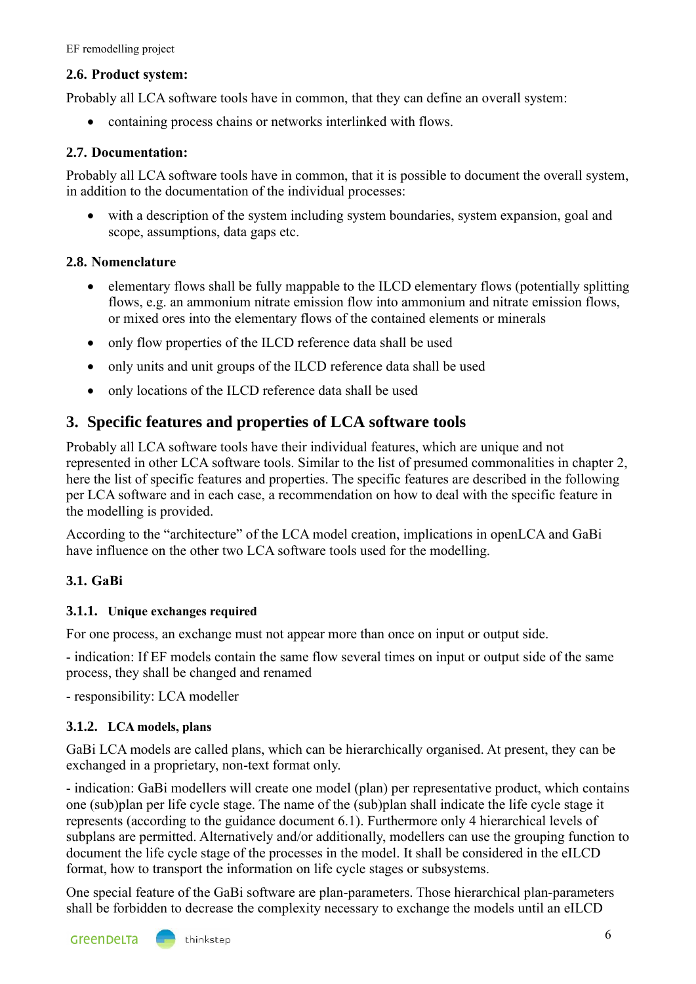#### <span id="page-5-0"></span>**2.6. Product system:**

Probably all LCA software tools have in common, that they can define an overall system:

• containing process chains or networks interlinked with flows.

## <span id="page-5-1"></span>**2.7. Documentation:**

Probably all LCA software tools have in common, that it is possible to document the overall system, in addition to the documentation of the individual processes:

• with a description of the system including system boundaries, system expansion, goal and scope, assumptions, data gaps etc.

## <span id="page-5-2"></span>**2.8. Nomenclature**

- elementary flows shall be fully mappable to the ILCD elementary flows (potentially splitting flows, e.g. an ammonium nitrate emission flow into ammonium and nitrate emission flows, or mixed ores into the elementary flows of the contained elements or minerals
- only flow properties of the ILCD reference data shall be used
- only units and unit groups of the ILCD reference data shall be used
- only locations of the ILCD reference data shall be used

# <span id="page-5-3"></span>**3. Specific features and properties of LCA software tools**

Probably all LCA software tools have their individual features, which are unique and not represented in other LCA software tools. Similar to the list of presumed commonalities in chapter [2,](#page-3-0) here the list of specific features and properties. The specific features are described in the following per LCA software and in each case, a recommendation on how to deal with the specific feature in the modelling is provided.

According to the "architecture" of the LCA model creation, implications in openLCA and GaBi have influence on the other two LCA software tools used for the modelling.

# <span id="page-5-4"></span>**3.1. GaBi**

#### <span id="page-5-5"></span>**3.1.1. Unique exchanges required**

For one process, an exchange must not appear more than once on input or output side.

- indication: If EF models contain the same flow several times on input or output side of the same process, they shall be changed and renamed

- responsibility: LCA modeller

#### <span id="page-5-6"></span>**3.1.2. LCA models, plans**

GaBi LCA models are called plans, which can be hierarchically organised. At present, they can be exchanged in a proprietary, non-text format only.

- indication: GaBi modellers will create one model (plan) per representative product, which contains one (sub)plan per life cycle stage. The name of the (sub)plan shall indicate the life cycle stage it represents (according to the guidance document 6.1). Furthermore only 4 hierarchical levels of subplans are permitted. Alternatively and/or additionally, modellers can use the grouping function to document the life cycle stage of the processes in the model. It shall be considered in the eILCD format, how to transport the information on life cycle stages or subsystems.

One special feature of the GaBi software are plan-parameters. Those hierarchical plan-parameters shall be forbidden to decrease the complexity necessary to exchange the models until an eILCD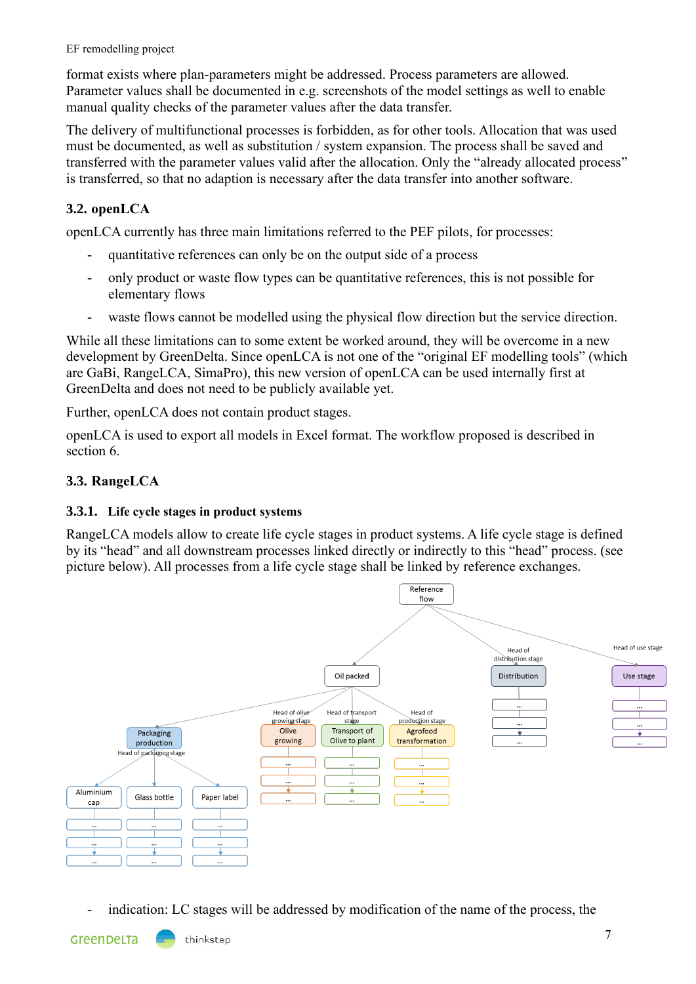format exists where plan-parameters might be addressed. Process parameters are allowed. Parameter values shall be documented in e.g. screenshots of the model settings as well to enable manual quality checks of the parameter values after the data transfer.

The delivery of multifunctional processes is forbidden, as for other tools. Allocation that was used must be documented, as well as substitution / system expansion. The process shall be saved and transferred with the parameter values valid after the allocation. Only the "already allocated process" is transferred, so that no adaption is necessary after the data transfer into another software.

# <span id="page-6-0"></span>**3.2. openLCA**

openLCA currently has three main limitations referred to the PEF pilots, for processes:

- quantitative references can only be on the output side of a process
- only product or waste flow types can be quantitative references, this is not possible for elementary flows
- waste flows cannot be modelled using the physical flow direction but the service direction.

While all these limitations can to some extent be worked around, they will be overcome in a new development by GreenDelta. Since openLCA is not one of the "original EF modelling tools" (which are GaBi, RangeLCA, SimaPro), this new version of openLCA can be used internally first at GreenDelta and does not need to be publicly available yet.

Further, openLCA does not contain product stages.

openLCA is used to export all models in Excel format. The workflow proposed is described in section [6.](#page-11-3)

## <span id="page-6-1"></span>**3.3. RangeLCA**

#### <span id="page-6-2"></span>**3.3.1. Life cycle stages in product systems**

RangeLCA models allow to create life cycle stages in product systems. A life cycle stage is defined by its "head" and all downstream processes linked directly or indirectly to this "head" process. (see picture below). All processes from a life cycle stage shall be linked by reference exchanges.



indication: LC stages will be addressed by modification of the name of the process, the

GreenDeLTa

thinkstep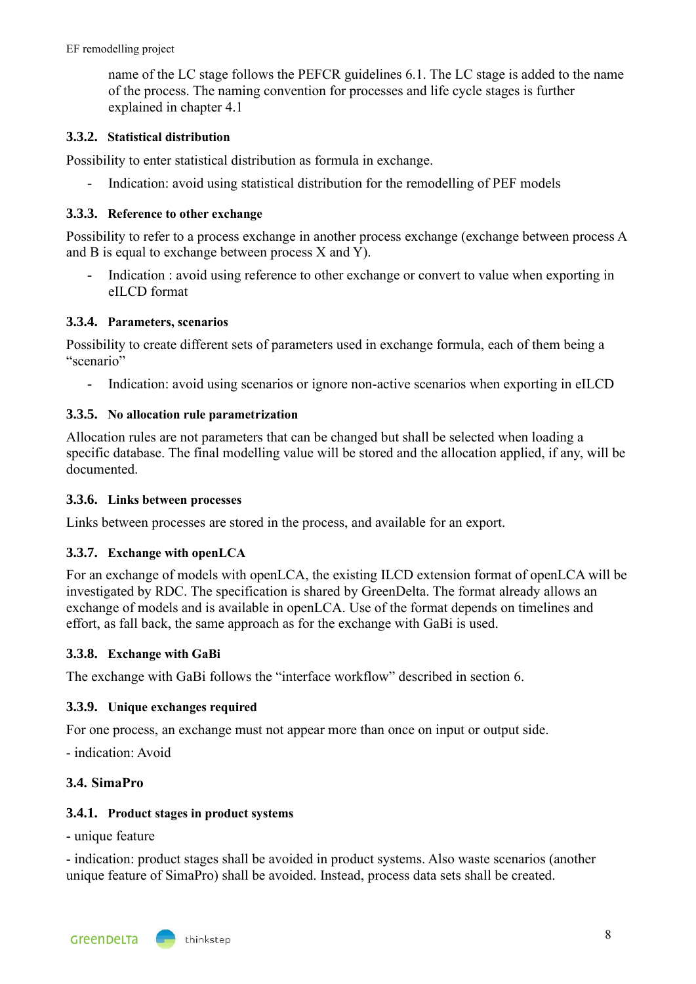name of the LC stage follows the PEFCR guidelines 6.1. The LC stage is added to the name of the process. The naming convention for processes and life cycle stages is further explained in chapter 4.1

#### <span id="page-7-0"></span>**3.3.2. Statistical distribution**

Possibility to enter statistical distribution as formula in exchange.

- Indication: avoid using statistical distribution for the remodelling of PEF models

#### <span id="page-7-1"></span>**3.3.3. Reference to other exchange**

Possibility to refer to a process exchange in another process exchange (exchange between process A and B is equal to exchange between process  $X$  and  $Y$ ).

Indication : avoid using reference to other exchange or convert to value when exporting in eILCD format

#### <span id="page-7-2"></span>**3.3.4. Parameters, scenarios**

Possibility to create different sets of parameters used in exchange formula, each of them being a "scenario"

- Indication: avoid using scenarios or ignore non-active scenarios when exporting in eILCD

#### <span id="page-7-3"></span>**3.3.5. No allocation rule parametrization**

Allocation rules are not parameters that can be changed but shall be selected when loading a specific database. The final modelling value will be stored and the allocation applied, if any, will be documented.

#### <span id="page-7-4"></span>**3.3.6. Links between processes**

<span id="page-7-5"></span>Links between processes are stored in the process, and available for an export.

#### **3.3.7. Exchange with openLCA**

For an exchange of models with openLCA, the existing ILCD extension format of openLCA will be investigated by RDC. The specification is shared by GreenDelta. The format already allows an exchange of models and is available in openLCA. Use of the format depends on timelines and effort, as fall back, the same approach as for the exchange with GaBi is used.

#### <span id="page-7-6"></span>**3.3.8. Exchange with GaBi**

<span id="page-7-7"></span>The exchange with GaBi follows the "interface workflow" described in section [6.](#page-11-3)

#### **3.3.9. Unique exchanges required**

For one process, an exchange must not appear more than once on input or output side.

<span id="page-7-8"></span>- indication: Avoid

#### **3.4. SimaPro**

#### <span id="page-7-9"></span>**3.4.1. Product stages in product systems**

- unique feature

- indication: product stages shall be avoided in product systems. Also waste scenarios (another unique feature of SimaPro) shall be avoided. Instead, process data sets shall be created.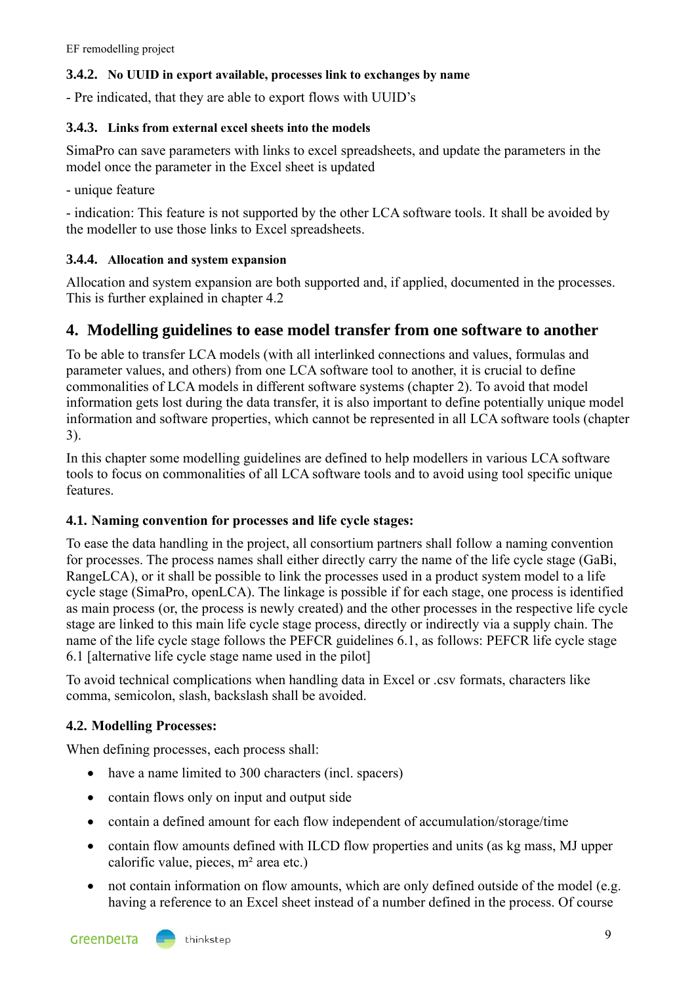#### <span id="page-8-0"></span>**3.4.2. No UUID in export available, processes link to exchanges by name**

- Pre indicated, that they are able to export flows with UUID's

#### <span id="page-8-1"></span>**3.4.3. Links from external excel sheets into the models**

SimaPro can save parameters with links to excel spreadsheets, and update the parameters in the model once the parameter in the Excel sheet is updated

- unique feature

- indication: This feature is not supported by the other LCA software tools. It shall be avoided by the modeller to use those links to Excel spreadsheets.

#### <span id="page-8-2"></span>**3.4.4. Allocation and system expansion**

Allocation and system expansion are both supported and, if applied, documented in the processes. This is further explained in chapter 4.2

# <span id="page-8-3"></span>**4. Modelling guidelines to ease model transfer from one software to another**

To be able to transfer LCA models (with all interlinked connections and values, formulas and parameter values, and others) from one LCA software tool to another, it is crucial to define commonalities of LCA models in different software systems (chapter [2\)](#page-3-0). To avoid that model information gets lost during the data transfer, it is also important to define potentially unique model information and software properties, which cannot be represented in all LCA software tools (chapter [3\)](#page-5-3).

In this chapter some modelling guidelines are defined to help modellers in various LCA software tools to focus on commonalities of all LCA software tools and to avoid using tool specific unique features.

#### <span id="page-8-4"></span>**4.1. Naming convention for processes and life cycle stages:**

To ease the data handling in the project, all consortium partners shall follow a naming convention for processes. The process names shall either directly carry the name of the life cycle stage (GaBi, RangeLCA), or it shall be possible to link the processes used in a product system model to a life cycle stage (SimaPro, openLCA). The linkage is possible if for each stage, one process is identified as main process (or, the process is newly created) and the other processes in the respective life cycle stage are linked to this main life cycle stage process, directly or indirectly via a supply chain. The name of the life cycle stage follows the PEFCR guidelines 6.1, as follows: PEFCR life cycle stage 6.1 [alternative life cycle stage name used in the pilot]

To avoid technical complications when handling data in Excel or .csv formats, characters like comma, semicolon, slash, backslash shall be avoided.

#### <span id="page-8-5"></span>**4.2. Modelling Processes:**

When defining processes, each process shall:

- have a name limited to 300 characters (incl. spacers)
- contain flows only on input and output side
- contain a defined amount for each flow independent of accumulation/storage/time
- contain flow amounts defined with ILCD flow properties and units (as kg mass, MJ upper calorific value, pieces, m² area etc.)
- not contain information on flow amounts, which are only defined outside of the model (e.g. having a reference to an Excel sheet instead of a number defined in the process. Of course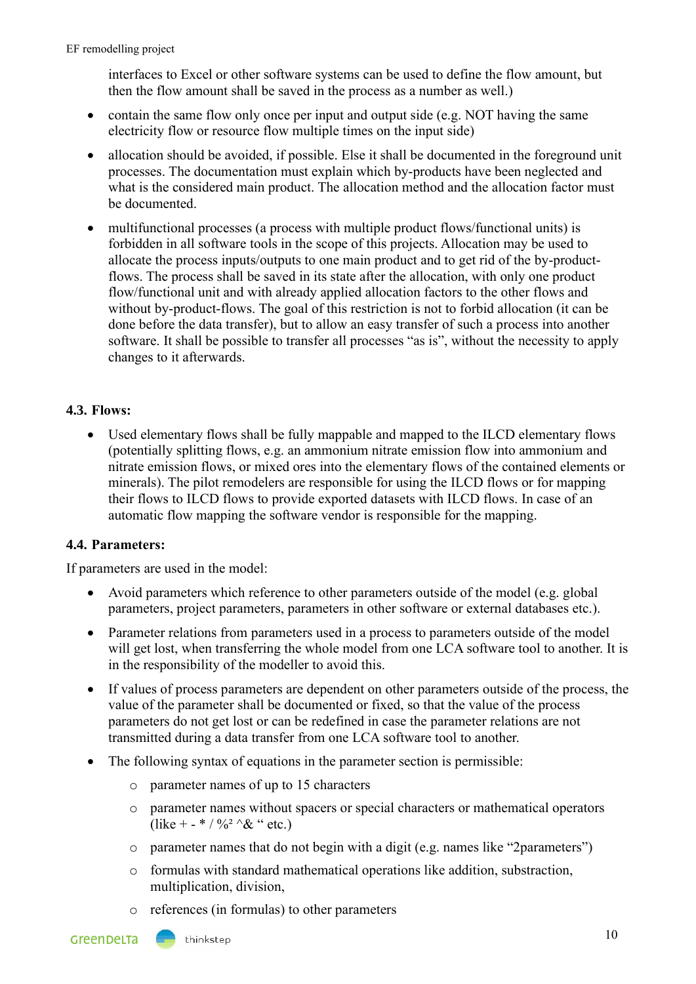interfaces to Excel or other software systems can be used to define the flow amount, but then the flow amount shall be saved in the process as a number as well.)

- contain the same flow only once per input and output side (e.g. NOT having the same electricity flow or resource flow multiple times on the input side)
- allocation should be avoided, if possible. Else it shall be documented in the foreground unit processes. The documentation must explain which by-products have been neglected and what is the considered main product. The allocation method and the allocation factor must be documented.
- multifunctional processes (a process with multiple product flows/functional units) is forbidden in all software tools in the scope of this projects. Allocation may be used to allocate the process inputs/outputs to one main product and to get rid of the by-productflows. The process shall be saved in its state after the allocation, with only one product flow/functional unit and with already applied allocation factors to the other flows and without by-product-flows. The goal of this restriction is not to forbid allocation (it can be done before the data transfer), but to allow an easy transfer of such a process into another software. It shall be possible to transfer all processes "as is", without the necessity to apply changes to it afterwards.

## <span id="page-9-0"></span>**4.3. Flows:**

• Used elementary flows shall be fully mappable and mapped to the ILCD elementary flows (potentially splitting flows, e.g. an ammonium nitrate emission flow into ammonium and nitrate emission flows, or mixed ores into the elementary flows of the contained elements or minerals). The pilot remodelers are responsible for using the ILCD flows or for mapping their flows to ILCD flows to provide exported datasets with ILCD flows. In case of an automatic flow mapping the software vendor is responsible for the mapping.

# <span id="page-9-1"></span>**4.4. Parameters:**

If parameters are used in the model:

- Avoid parameters which reference to other parameters outside of the model (e.g. global parameters, project parameters, parameters in other software or external databases etc.).
- Parameter relations from parameters used in a process to parameters outside of the model will get lost, when transferring the whole model from one LCA software tool to another. It is in the responsibility of the modeller to avoid this.
- If values of process parameters are dependent on other parameters outside of the process, the value of the parameter shall be documented or fixed, so that the value of the process parameters do not get lost or can be redefined in case the parameter relations are not transmitted during a data transfer from one LCA software tool to another.
- The following syntax of equations in the parameter section is permissible:
	- o parameter names of up to 15 characters
	- o parameter names without spacers or special characters or mathematical operators (like + - \* /  $\frac{0}{2}$  ^& " etc.)
	- o parameter names that do not begin with a digit (e.g. names like "2parameters")
	- o formulas with standard mathematical operations like addition, substraction, multiplication, division,
	- o references (in formulas) to other parameters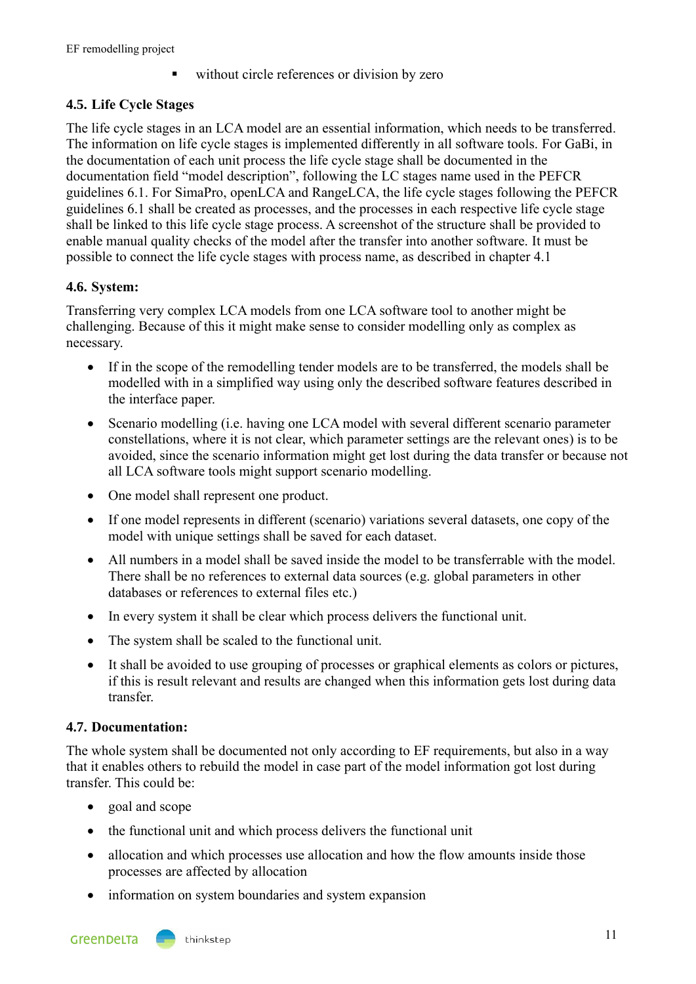without circle references or division by zero

# <span id="page-10-0"></span>**4.5. Life Cycle Stages**

The life cycle stages in an LCA model are an essential information, which needs to be transferred. The information on life cycle stages is implemented differently in all software tools. For GaBi, in the documentation of each unit process the life cycle stage shall be documented in the documentation field "model description", following the LC stages name used in the PEFCR guidelines 6.1. For SimaPro, openLCA and RangeLCA, the life cycle stages following the PEFCR guidelines 6.1 shall be created as processes, and the processes in each respective life cycle stage shall be linked to this life cycle stage process. A screenshot of the structure shall be provided to enable manual quality checks of the model after the transfer into another software. It must be possible to connect the life cycle stages with process name, as described in chapter [4.1](#page-8-4)

# <span id="page-10-1"></span>**4.6. System:**

Transferring very complex LCA models from one LCA software tool to another might be challenging. Because of this it might make sense to consider modelling only as complex as necessary.

- If in the scope of the remodelling tender models are to be transferred, the models shall be modelled with in a simplified way using only the described software features described in the interface paper.
- Scenario modelling (i.e. having one LCA model with several different scenario parameter constellations, where it is not clear, which parameter settings are the relevant ones) is to be avoided, since the scenario information might get lost during the data transfer or because not all LCA software tools might support scenario modelling.
- One model shall represent one product.
- If one model represents in different (scenario) variations several datasets, one copy of the model with unique settings shall be saved for each dataset.
- All numbers in a model shall be saved inside the model to be transferrable with the model. There shall be no references to external data sources (e.g. global parameters in other databases or references to external files etc.)
- In every system it shall be clear which process delivers the functional unit.
- The system shall be scaled to the functional unit.
- It shall be avoided to use grouping of processes or graphical elements as colors or pictures, if this is result relevant and results are changed when this information gets lost during data transfer.

#### <span id="page-10-2"></span>**4.7. Documentation:**

The whole system shall be documented not only according to EF requirements, but also in a way that it enables others to rebuild the model in case part of the model information got lost during transfer. This could be:

- goal and scope
- the functional unit and which process delivers the functional unit
- allocation and which processes use allocation and how the flow amounts inside those processes are affected by allocation
- information on system boundaries and system expansion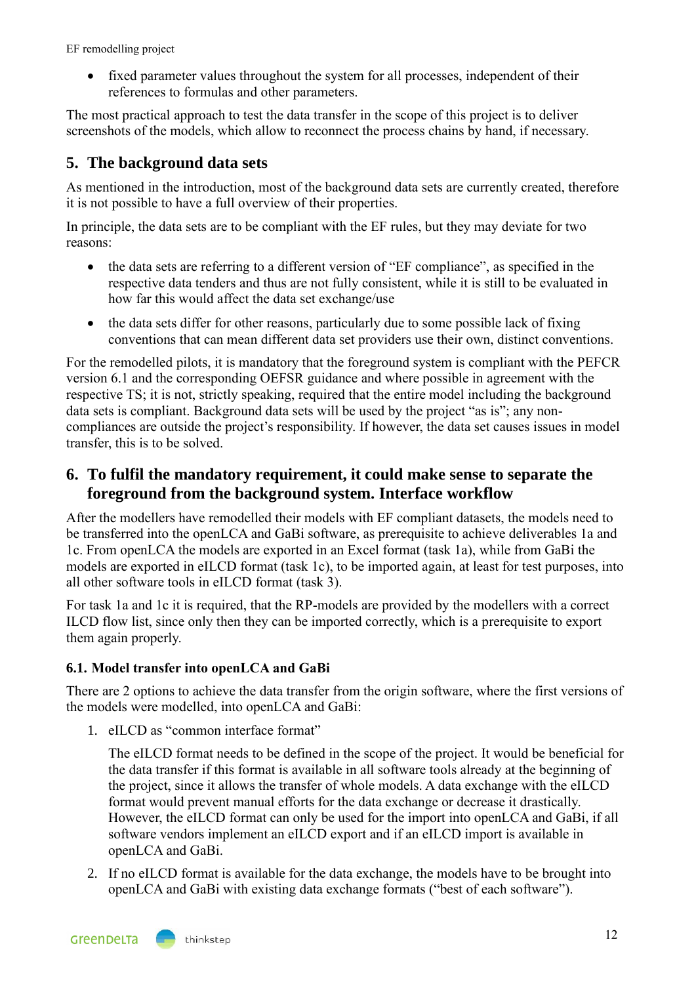• fixed parameter values throughout the system for all processes, independent of their references to formulas and other parameters.

The most practical approach to test the data transfer in the scope of this project is to deliver screenshots of the models, which allow to reconnect the process chains by hand, if necessary.

# <span id="page-11-0"></span>**5. The background data sets**

As mentioned in the introduction, most of the background data sets are currently created, therefore it is not possible to have a full overview of their properties.

In principle, the data sets are to be compliant with the EF rules, but they may deviate for two reasons:

- the data sets are referring to a different version of "EF compliance", as specified in the respective data tenders and thus are not fully consistent, while it is still to be evaluated in how far this would affect the data set exchange/use
- the data sets differ for other reasons, particularly due to some possible lack of fixing conventions that can mean different data set providers use their own, distinct conventions.

For the remodelled pilots, it is mandatory that the foreground system is compliant with the PEFCR version 6.1 and the corresponding OEFSR guidance and where possible in agreement with the respective TS; it is not, strictly speaking, required that the entire model including the background data sets is compliant. Background data sets will be used by the project "as is"; any noncompliances are outside the project's responsibility. If however, the data set causes issues in model transfer, this is to be solved.

# <span id="page-11-3"></span><span id="page-11-1"></span>**6. To fulfil the mandatory requirement, it could make sense to separate the foreground from the background system. Interface workflow**

After the modellers have remodelled their models with EF compliant datasets, the models need to be transferred into the openLCA and GaBi software, as prerequisite to achieve deliverables 1a and 1c. From openLCA the models are exported in an Excel format (task 1a), while from GaBi the models are exported in eILCD format (task 1c), to be imported again, at least for test purposes, into all other software tools in eILCD format (task 3).

For task 1a and 1c it is required, that the RP-models are provided by the modellers with a correct ILCD flow list, since only then they can be imported correctly, which is a prerequisite to export them again properly.

# <span id="page-11-2"></span>**6.1. Model transfer into openLCA and GaBi**

There are 2 options to achieve the data transfer from the origin software, where the first versions of the models were modelled, into openLCA and GaBi:

1. eILCD as "common interface format"

The eILCD format needs to be defined in the scope of the project. It would be beneficial for the data transfer if this format is available in all software tools already at the beginning of the project, since it allows the transfer of whole models. A data exchange with the eILCD format would prevent manual efforts for the data exchange or decrease it drastically. However, the eILCD format can only be used for the import into openLCA and GaBi, if all software vendors implement an eILCD export and if an eILCD import is available in openLCA and GaBi.

2. If no eILCD format is available for the data exchange, the models have to be brought into openLCA and GaBi with existing data exchange formats ("best of each software").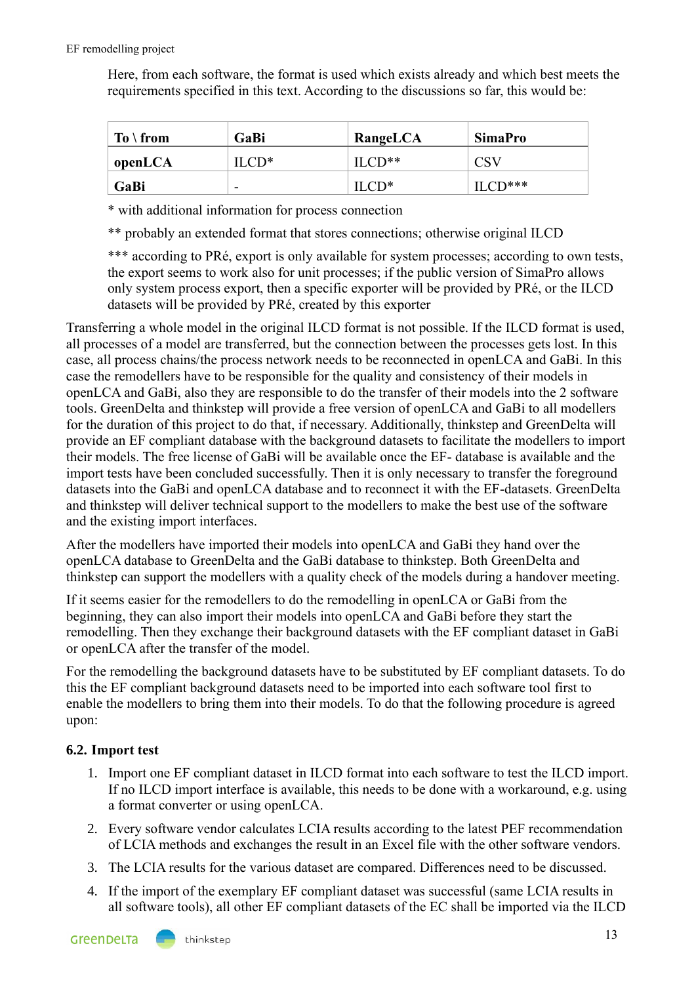Here, from each software, the format is used which exists already and which best meets the requirements specified in this text. According to the discussions so far, this would be:

| $To \setminus from$ | GaBi                     | RangeLCA | <b>SimaPro</b> |
|---------------------|--------------------------|----------|----------------|
| openLCA             | II CD*                   | $ILCD**$ | <b>CSV</b>     |
| GaBi                | $\overline{\phantom{a}}$ | $ILCD*$  | $\prod$ CD***  |

\* with additional information for process connection

\*\* probably an extended format that stores connections; otherwise original ILCD

\*\*\* according to PRé, export is only available for system processes; according to own tests, the export seems to work also for unit processes; if the public version of SimaPro allows only system process export, then a specific exporter will be provided by PRé, or the ILCD datasets will be provided by PRé, created by this exporter

Transferring a whole model in the original ILCD format is not possible. If the ILCD format is used, all processes of a model are transferred, but the connection between the processes gets lost. In this case, all process chains/the process network needs to be reconnected in openLCA and GaBi. In this case the remodellers have to be responsible for the quality and consistency of their models in openLCA and GaBi, also they are responsible to do the transfer of their models into the 2 software tools. GreenDelta and thinkstep will provide a free version of openLCA and GaBi to all modellers for the duration of this project to do that, if necessary. Additionally, thinkstep and GreenDelta will provide an EF compliant database with the background datasets to facilitate the modellers to import their models. The free license of GaBi will be available once the EF- database is available and the import tests have been concluded successfully. Then it is only necessary to transfer the foreground datasets into the GaBi and openLCA database and to reconnect it with the EF-datasets. GreenDelta and thinkstep will deliver technical support to the modellers to make the best use of the software and the existing import interfaces.

After the modellers have imported their models into openLCA and GaBi they hand over the openLCA database to GreenDelta and the GaBi database to thinkstep. Both GreenDelta and thinkstep can support the modellers with a quality check of the models during a handover meeting.

If it seems easier for the remodellers to do the remodelling in openLCA or GaBi from the beginning, they can also import their models into openLCA and GaBi before they start the remodelling. Then they exchange their background datasets with the EF compliant dataset in GaBi or openLCA after the transfer of the model.

For the remodelling the background datasets have to be substituted by EF compliant datasets. To do this the EF compliant background datasets need to be imported into each software tool first to enable the modellers to bring them into their models. To do that the following procedure is agreed upon:

# <span id="page-12-0"></span>**6.2. Import test**

- 1. Import one EF compliant dataset in ILCD format into each software to test the ILCD import. If no ILCD import interface is available, this needs to be done with a workaround, e.g. using a format converter or using openLCA.
- 2. Every software vendor calculates LCIA results according to the latest PEF recommendation of LCIA methods and exchanges the result in an Excel file with the other software vendors.
- 3. The LCIA results for the various dataset are compared. Differences need to be discussed.
- 4. If the import of the exemplary EF compliant dataset was successful (same LCIA results in all software tools), all other EF compliant datasets of the EC shall be imported via the ILCD